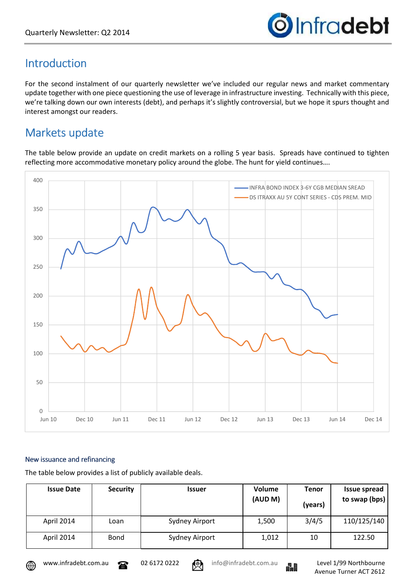

# Introduction

For the second instalment of our quarterly newsletter we've included our regular news and market commentary update together with one piece questioning the use of leverage in infrastructure investing. Technically with this piece, we're talking down our own interests (debt), and perhaps it's slightly controversial, but we hope it spurs thought and interest amongst our readers.

# Markets update

The table below provide an update on credit markets on a rolling 5 year basis. Spreads have continued to tighten reflecting more accommodative monetary policy around the globe. The hunt for yield continues….



#### New issuance and refinancing

The table below provides a list of publicly available deals.

| <b>Issue Date</b> | <b>Security</b> | <b>Issuer</b>  | Volume<br>(AUD M) | Tenor<br>(years) | <b>Issue spread</b><br>to swap (bps) |
|-------------------|-----------------|----------------|-------------------|------------------|--------------------------------------|
| April 2014        | Loan            | Sydney Airport | 1,500             | 3/4/5            | 110/125/140                          |
| April 2014        | <b>Bond</b>     | Sydney Airport | 1,012             | 10               | 122.50                               |



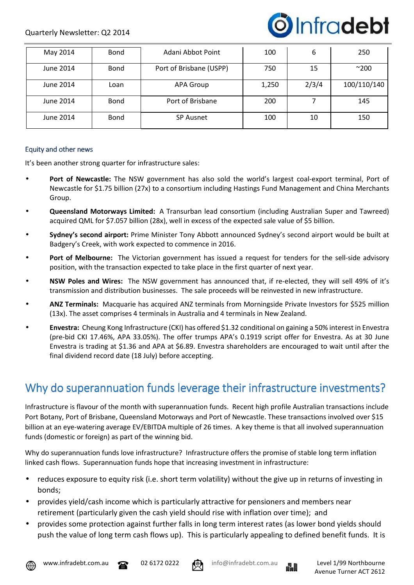

| May 2014  | <b>Bond</b> | Adani Abbot Point       | 100   | 6     | 250          |
|-----------|-------------|-------------------------|-------|-------|--------------|
| June 2014 | <b>Bond</b> | Port of Brisbane (USPP) | 750   | 15    | $^{\sim}200$ |
| June 2014 | Loan        | <b>APA Group</b>        | 1,250 | 2/3/4 | 100/110/140  |
| June 2014 | <b>Bond</b> | Port of Brisbane        | 200   |       | 145          |
| June 2014 | <b>Bond</b> | <b>SP Ausnet</b>        | 100   | 10    | 150          |

#### Equity and other news

It's been another strong quarter for infrastructure sales:

- **Port of Newcastle:** The NSW government has also sold the world's largest coal-export terminal, Port of Newcastle for \$1.75 billion (27x) to a consortium including Hastings Fund Management and China Merchants Group.
- **Queensland Motorways Limited:** A Transurban lead consortium (including Australian Super and Tawreed) acquired QML for \$7.057 billion (28x), well in excess of the expected sale value of \$5 billion.
- **Sydney's second airport:** Prime Minister Tony Abbott announced Sydney's second airport would be built at Badgery's Creek, with work expected to commence in 2016.
- **Port of Melbourne:** The Victorian government has issued a request for tenders for the sell-side advisory position, with the transaction expected to take place in the first quarter of next year.
- **NSW Poles and Wires:** The NSW government has announced that, if re-elected, they will sell 49% of it's transmission and distribution businesses. The sale proceeds will be reinvested in new infrastructure.
- **ANZ Terminals:** Macquarie has acquired ANZ terminals from Morningside Private Investors for \$525 million (13x). The asset comprises 4 terminals in Australia and 4 terminals in New Zealand.
- **Envestra:** Cheung Kong Infrastructure (CKI) has offered \$1.32 conditional on gaining a 50% interest in Envestra (pre-bid CKI 17.46%, APA 33.05%). The offer trumps APA's 0.1919 script offer for Envestra. As at 30 June Envestra is trading at \$1.36 and APA at \$6.89. Envestra shareholders are encouraged to wait until after the final dividend record date (18 July) before accepting.

### Why do superannuation funds leverage their infrastructure investments?

Infrastructure is flavour of the month with superannuation funds. Recent high profile Australian transactions include Port Botany, Port of Brisbane, Queensland Motorways and Port of Newcastle. These transactions involved over \$15 billion at an eye-watering average EV/EBITDA multiple of 26 times. A key theme is that all involved superannuation funds (domestic or foreign) as part of the winning bid.

Why do superannuation funds love infrastructure? Infrastructure offers the promise of stable long term inflation linked cash flows. Superannuation funds hope that increasing investment in infrastructure:

- reduces exposure to equity risk (i.e. short term volatility) without the give up in returns of investing in bonds;
- provides yield/cash income which is particularly attractive for pensioners and members near retirement (particularly given the cash yield should rise with inflation over time); and
- provides some protection against further falls in long term interest rates (as lower bond yields should push the value of long term cash flows up). This is particularly appealing to defined benefit funds. It is